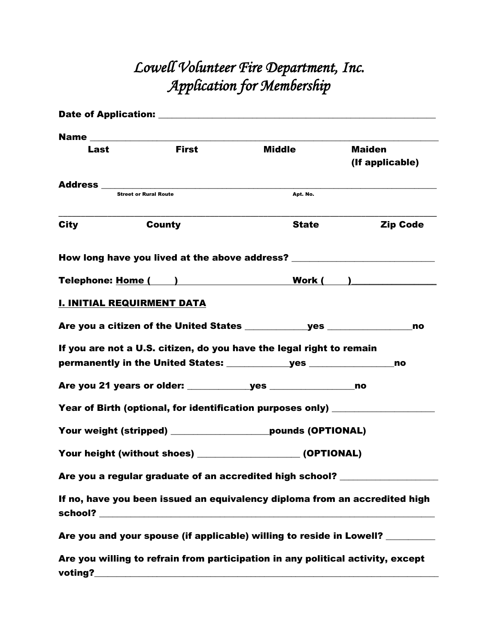# *Lowell Volunteer Fire Department, Inc. Application for Membership*

| Last                              | <b>First</b>                                                                                                                                                                                                                   | <b>Middle</b>                                                                    | <b>Maiden</b><br>(If applicable) |
|-----------------------------------|--------------------------------------------------------------------------------------------------------------------------------------------------------------------------------------------------------------------------------|----------------------------------------------------------------------------------|----------------------------------|
|                                   |                                                                                                                                                                                                                                |                                                                                  |                                  |
|                                   | <b>Street or Rural Route</b>                                                                                                                                                                                                   | Apt. No.                                                                         |                                  |
| <b>City</b>                       | <b>County</b>                                                                                                                                                                                                                  | <b>State</b>                                                                     | <b>Zip Code</b>                  |
|                                   |                                                                                                                                                                                                                                | How long have you lived at the above address? __________________________________ |                                  |
|                                   | Telephone: Home ( and a control of the control of the control of the control of the control of the control of the control of the control of the control of the control of the control of the control of the control of the con |                                                                                  |                                  |
| <b>I. INITIAL REQUIRMENT DATA</b> |                                                                                                                                                                                                                                |                                                                                  |                                  |
|                                   |                                                                                                                                                                                                                                |                                                                                  | no                               |
|                                   |                                                                                                                                                                                                                                | If you are not a U.S. citizen, do you have the legal right to remain             |                                  |
|                                   |                                                                                                                                                                                                                                |                                                                                  | no                               |
|                                   |                                                                                                                                                                                                                                |                                                                                  |                                  |
|                                   |                                                                                                                                                                                                                                | Year of Birth (optional, for identification purposes only) _______________       |                                  |
|                                   |                                                                                                                                                                                                                                | Your weight (stripped) _____________________pounds (OPTIONAL)                    |                                  |
|                                   |                                                                                                                                                                                                                                | Your height (without shoes) _____________________ (OPTIONAL)                     |                                  |
|                                   |                                                                                                                                                                                                                                | Are you a regular graduate of an accredited high school? _______________________ |                                  |
|                                   |                                                                                                                                                                                                                                | If no, have you been issued an equivalency diploma from an accredited high       |                                  |
|                                   |                                                                                                                                                                                                                                | Are you and your spouse (if applicable) willing to reside in Lowell? ________    |                                  |
|                                   |                                                                                                                                                                                                                                | Are you willing to refrain from participation in any political activity, except  |                                  |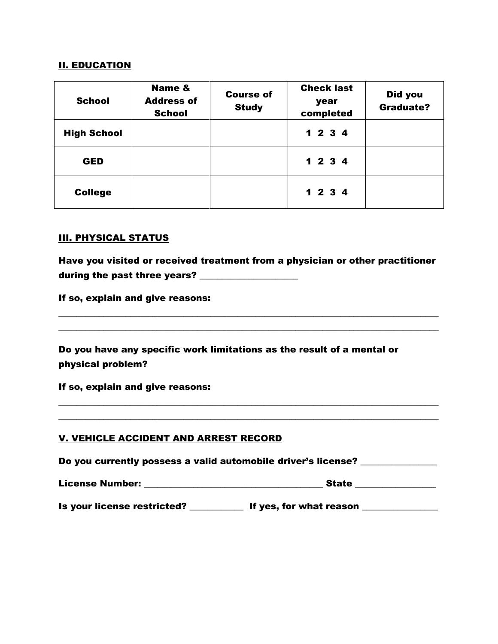## II. EDUCATION

| <b>School</b>      | Name &<br><b>Address of</b><br><b>School</b> | <b>Course of</b><br><b>Study</b> | <b>Check last</b><br>year<br>completed | Did you<br><b>Graduate?</b> |
|--------------------|----------------------------------------------|----------------------------------|----------------------------------------|-----------------------------|
| <b>High School</b> |                                              |                                  | 1234                                   |                             |
| <b>GED</b>         |                                              |                                  | 1234                                   |                             |
| <b>College</b>     |                                              |                                  | 1234                                   |                             |

#### III. PHYSICAL STATUS

Have you visited or received treatment from a physician or other practitioner during the past three years? \_\_\_\_\_\_\_\_\_\_\_\_\_\_\_\_\_\_\_\_\_\_

 $\_$  , and the set of the set of the set of the set of the set of the set of the set of the set of the set of the set of the set of the set of the set of the set of the set of the set of the set of the set of the set of th  $\_$  , and the set of the set of the set of the set of the set of the set of the set of the set of the set of the set of the set of the set of the set of the set of the set of the set of the set of the set of the set of th

If so, explain and give reasons:

Do you have any specific work limitations as the result of a mental or physical problem?

If so, explain and give reasons:

#### V. VEHICLE ACCIDENT AND ARREST RECORD

| Do you currently possess a valid automobile driver's license? |              |  |
|---------------------------------------------------------------|--------------|--|
| License Number:                                               | <b>State</b> |  |

 $\_$  , and the set of the set of the set of the set of the set of the set of the set of the set of the set of the set of the set of the set of the set of the set of the set of the set of the set of the set of the set of th  $\_$  , and the set of the set of the set of the set of the set of the set of the set of the set of the set of the set of the set of the set of the set of the set of the set of the set of the set of the set of the set of th

Is your license restricted? \_\_\_\_\_\_\_\_\_\_\_\_ If yes, for what reason \_\_\_\_\_\_\_\_\_\_\_\_\_\_\_\_\_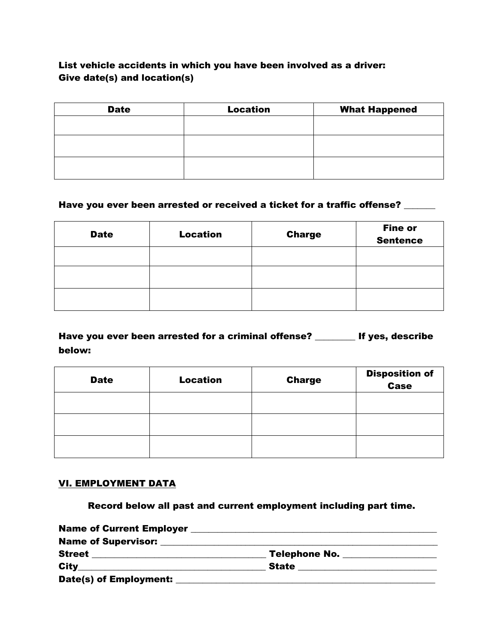# List vehicle accidents in which you have been involved as a driver: Give date(s) and location(s)

| <b>Date</b> | <b>Location</b> | <b>What Happened</b> |
|-------------|-----------------|----------------------|
|             |                 |                      |
|             |                 |                      |
|             |                 |                      |
|             |                 |                      |
|             |                 |                      |

#### Have you ever been arrested or received a ticket for a traffic offense? \_\_\_\_\_\_

| <b>Date</b> | <b>Location</b> | <b>Charge</b> | <b>Fine or</b><br><b>Sentence</b> |
|-------------|-----------------|---------------|-----------------------------------|
|             |                 |               |                                   |
|             |                 |               |                                   |
|             |                 |               |                                   |

Have you ever been arrested for a criminal offense? \_\_\_\_\_\_\_\_\_ If yes, describe below:

| <b>Date</b> | <b>Location</b> | <b>Charge</b> | <b>Disposition of</b><br><b>Case</b> |
|-------------|-----------------|---------------|--------------------------------------|
|             |                 |               |                                      |
|             |                 |               |                                      |
|             |                 |               |                                      |

#### VI. EMPLOYMENT DATA

Record below all past and current employment including part time.

| Name of Supervisor: Name of Supervisor: |                                        |  |
|-----------------------------------------|----------------------------------------|--|
| <b>Street</b>                           | <b>Telephone No. _________________</b> |  |
|                                         | State _____________                    |  |
| Date(s) of Employment:                  |                                        |  |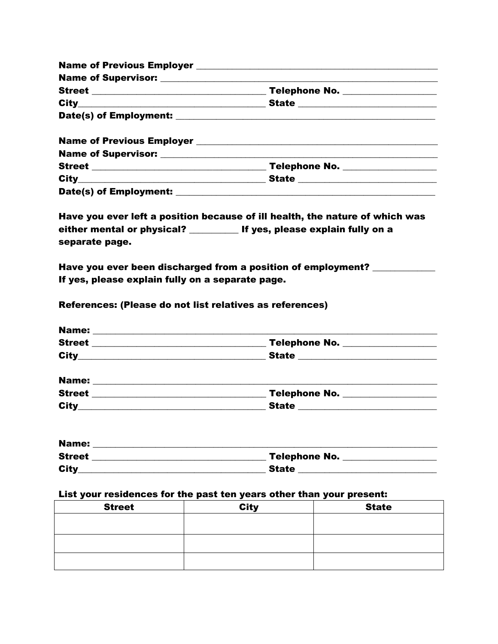| State _________________________ |  |
|---------------------------------|--|
|                                 |  |
|                                 |  |
|                                 |  |

| <b>Street</b>          | <b>Telephone No.</b> |
|------------------------|----------------------|
| <b>City</b>            | <b>State</b>         |
| Date(s) of Employment: |                      |

Have you ever left a position because of ill health, the nature of which was either mental or physical? \_\_\_\_\_\_\_\_\_\_\_ If yes, please explain fully on a separate page.

Have you ever been discharged from a position of employment? \_\_\_\_\_\_\_\_\_\_\_ If yes, please explain fully on a separate page.

References: (Please do not list relatives as references)

| <b>Name:</b>  |               |  |
|---------------|---------------|--|
| <b>Street</b> | Telephone No. |  |
| <b>City</b>   | <b>State</b>  |  |
|               |               |  |

| <b>Name:</b>  |                      |
|---------------|----------------------|
| <b>Street</b> | <b>Telephone No.</b> |
| <b>City</b>   | <b>State</b>         |
|               |                      |

| <b>Name:</b>  |                      |
|---------------|----------------------|
| <b>Street</b> | <b>Telephone No.</b> |
| <b>City</b>   | <b>State</b>         |

#### List your residences for the past ten years other than your present:

| <b>Street</b> | <b>City</b> | <b>State</b> |
|---------------|-------------|--------------|
|               |             |              |
|               |             |              |
|               |             |              |
|               |             |              |
|               |             |              |
|               |             |              |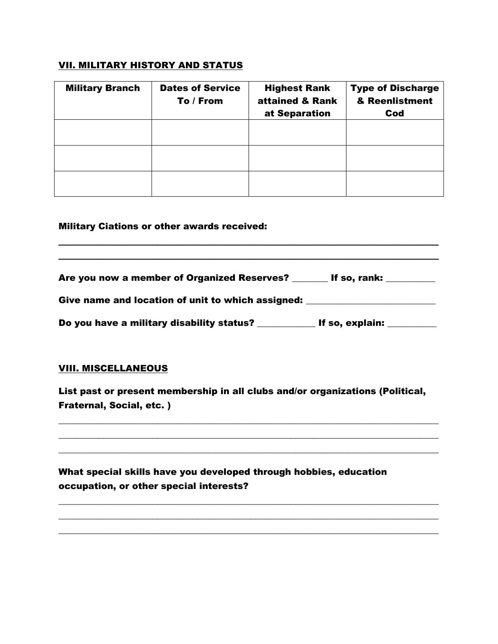## VII. MILITARY HISTORY AND STATUS

| <b>Military Branch</b> | <b>Dates of Service</b><br>To / From | <b>Highest Rank</b><br>attained & Rank<br>at Separation | <b>Type of Discharge</b><br>& Reenlistment<br>Cod |
|------------------------|--------------------------------------|---------------------------------------------------------|---------------------------------------------------|
|                        |                                      |                                                         |                                                   |
|                        |                                      |                                                         |                                                   |
|                        |                                      |                                                         |                                                   |

#### Military Ciations or other awards received:

Are you now a member of Organized Reserves? \_\_\_\_\_\_\_\_ If so, rank: \_\_\_\_\_\_\_\_\_

 $\_$  ,  $\_$  ,  $\_$  ,  $\_$  ,  $\_$  ,  $\_$  ,  $\_$  ,  $\_$  ,  $\_$  ,  $\_$  ,  $\_$  ,  $\_$  ,  $\_$  ,  $\_$  ,  $\_$  ,  $\_$  ,  $\_$  ,  $\_$  ,  $\_$  ,  $\_$  ,  $\_$  ,  $\_$  ,  $\_$  ,  $\_$  ,  $\_$  ,  $\_$  ,  $\_$  ,  $\_$  ,  $\_$  ,  $\_$  ,  $\_$  ,  $\_$  ,  $\_$  ,  $\_$  ,  $\_$  ,  $\_$  ,  $\_$  ,  $\_$  ,  $\_$  ,  $\_$  ,  $\_$  ,  $\_$  ,  $\_$  ,  $\_$  ,  $\_$  ,  $\_$  ,  $\_$  ,  $\_$  ,  $\_$  ,  $\_$  ,  $\_$  ,  $\_$  ,  $\_$  ,  $\_$  ,  $\_$  ,  $\_$  ,  $\_$  ,  $\_$  ,  $\_$  ,  $\_$  ,  $\_$  ,  $\_$  ,  $\_$  ,  $\_$  ,  $\_$  ,  $\_$  ,  $\_$  ,  $\_$  ,  $\_$  ,  $\_$  ,  $\_$  ,  $\_$  ,  $\_$  ,  $\_$  ,

Give name and location of unit to which assigned: \_\_\_\_\_\_\_\_\_\_\_\_\_\_\_\_\_\_\_\_\_\_\_\_\_\_\_\_\_\_

Do you have a military disability status? The solution of the solution:

#### VIII. MISCELLANEOUS

List past or present membership in all clubs and/or organizations (Political, Fraternal, Social, etc. )

 $\_$  , and the set of the set of the set of the set of the set of the set of the set of the set of the set of the set of the set of the set of the set of the set of the set of the set of the set of the set of the set of th  $\_$  , and the set of the set of the set of the set of the set of the set of the set of the set of the set of the set of the set of the set of the set of the set of the set of the set of the set of the set of the set of th  $\_$  , and the set of the set of the set of the set of the set of the set of the set of the set of the set of the set of the set of the set of the set of the set of the set of the set of the set of the set of the set of th

 $\_$  , and the set of the set of the set of the set of the set of the set of the set of the set of the set of the set of the set of the set of the set of the set of the set of the set of the set of the set of the set of th  $\_$  , and the set of the set of the set of the set of the set of the set of the set of the set of the set of the set of the set of the set of the set of the set of the set of the set of the set of the set of the set of th  $\_$  , and the set of the set of the set of the set of the set of the set of the set of the set of the set of the set of the set of the set of the set of the set of the set of the set of the set of the set of the set of th

What special skills have you developed through hobbies, education occupation, or other special interests?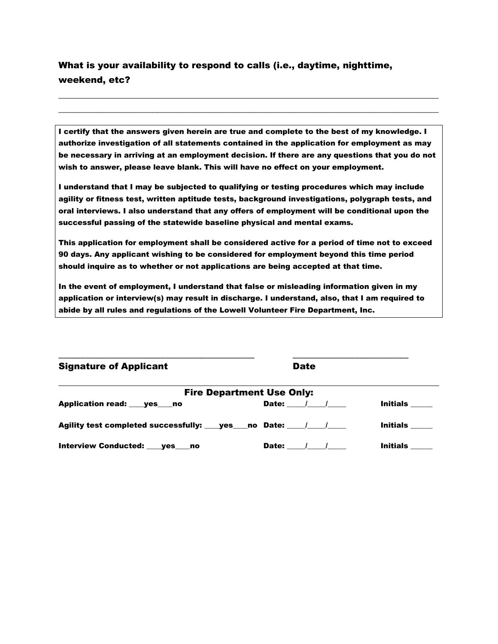# What is your availability to respond to calls (i.e., daytime, nighttime, weekend, etc?

I certify that the answers given herein are true and complete to the best of my knowledge. I authorize investigation of all statements contained in the application for employment as may be necessary in arriving at an employment decision. If there are any questions that you do not wish to answer, please leave blank. This will have no effect on your employment.

 $\_$  , and the set of the set of the set of the set of the set of the set of the set of the set of the set of the set of the set of the set of the set of the set of the set of the set of the set of the set of the set of th  $\_$  , and the set of the set of the set of the set of the set of the set of the set of the set of the set of the set of the set of the set of the set of the set of the set of the set of the set of the set of the set of th

I understand that I may be subjected to qualifying or testing procedures which may include agility or fitness test, written aptitude tests, background investigations, polygraph tests, and oral interviews. I also understand that any offers of employment will be conditional upon the successful passing of the statewide baseline physical and mental exams.

This application for employment shall be considered active for a period of time not to exceed 90 days. Any applicant wishing to be considered for employment beyond this time period should inquire as to whether or not applications are being accepted at that time.

In the event of employment, I understand that false or misleading information given in my application or interview(s) may result in discharge. I understand, also, that I am required to abide by all rules and regulations of the Lowell Volunteer Fire Department, Inc.

\_\_\_\_\_\_\_\_\_\_\_\_\_\_\_\_\_\_\_\_\_\_\_\_\_\_\_\_\_\_\_\_\_\_\_\_\_\_\_\_\_\_\_\_ \_\_\_\_\_\_\_\_\_\_\_\_\_\_\_\_\_\_\_\_\_\_\_\_\_\_

| <b>Signature of Applicant</b> | Date |
|-------------------------------|------|
|-------------------------------|------|

| <b>Fire Department Use Only:</b>                                                 |                     |                 |  |
|----------------------------------------------------------------------------------|---------------------|-----------------|--|
| Application read: ___ yes ___ no                                                 | Date: $\sqrt{2}$    | Initials        |  |
| Agility test completed successfully: _____ yes_____no _Date: ______/______/_____ |                     | <b>Initials</b> |  |
| Interview Conducted: ___ yes ___ no                                              | Date:<br>$\sqrt{1}$ | <b>Initials</b> |  |